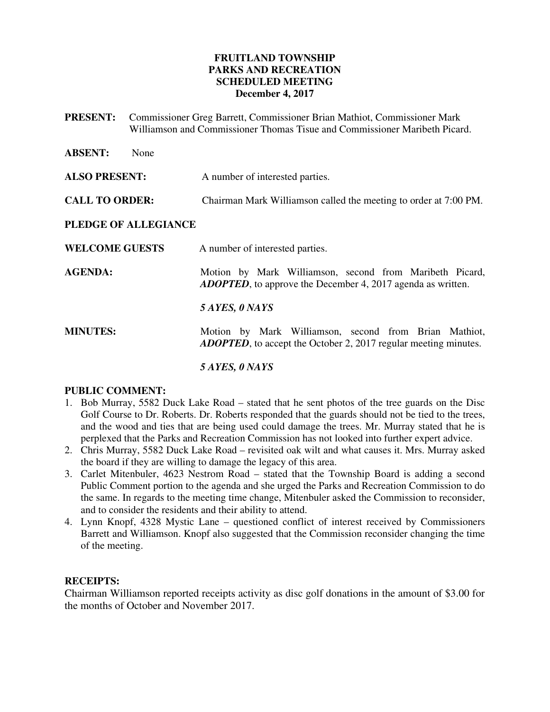## **FRUITLAND TOWNSHIP PARKS AND RECREATION SCHEDULED MEETING December 4, 2017**

**PRESENT:** Commissioner Greg Barrett, Commissioner Brian Mathiot, Commissioner Mark Williamson and Commissioner Thomas Tisue and Commissioner Maribeth Picard.

| <b>ABSENT:</b>        | None |                                                                                                                                  |
|-----------------------|------|----------------------------------------------------------------------------------------------------------------------------------|
| <b>ALSO PRESENT:</b>  |      | A number of interested parties.                                                                                                  |
| <b>CALL TO ORDER:</b> |      | Chairman Mark Williamson called the meeting to order at 7:00 PM.                                                                 |
| PLEDGE OF ALLEGIANCE  |      |                                                                                                                                  |
| <b>WELCOME GUESTS</b> |      | A number of interested parties.                                                                                                  |
| <b>AGENDA:</b>        |      | Motion by Mark Williamson, second from Maribeth Picard,<br><b>ADOPTED</b> , to approve the December 4, 2017 agenda as written.   |
|                       |      | 5 AYES, 0 NAYS                                                                                                                   |
| <b>MINUTES:</b>       |      | Motion by Mark Williamson, second from Brian Mathiot,<br><b>ADOPTED</b> , to accept the October 2, 2017 regular meeting minutes. |
|                       |      | 5 AYES, 0 NAYS                                                                                                                   |

## **PUBLIC COMMENT:**

- 1. Bob Murray, 5582 Duck Lake Road stated that he sent photos of the tree guards on the Disc Golf Course to Dr. Roberts. Dr. Roberts responded that the guards should not be tied to the trees, and the wood and ties that are being used could damage the trees. Mr. Murray stated that he is perplexed that the Parks and Recreation Commission has not looked into further expert advice.
- 2. Chris Murray, 5582 Duck Lake Road revisited oak wilt and what causes it. Mrs. Murray asked the board if they are willing to damage the legacy of this area.
- 3. Carlet Mitenbuler, 4623 Nestrom Road stated that the Township Board is adding a second Public Comment portion to the agenda and she urged the Parks and Recreation Commission to do the same. In regards to the meeting time change, Mitenbuler asked the Commission to reconsider, and to consider the residents and their ability to attend.
- 4. Lynn Knopf, 4328 Mystic Lane questioned conflict of interest received by Commissioners Barrett and Williamson. Knopf also suggested that the Commission reconsider changing the time of the meeting.

## **RECEIPTS:**

Chairman Williamson reported receipts activity as disc golf donations in the amount of \$3.00 for the months of October and November 2017.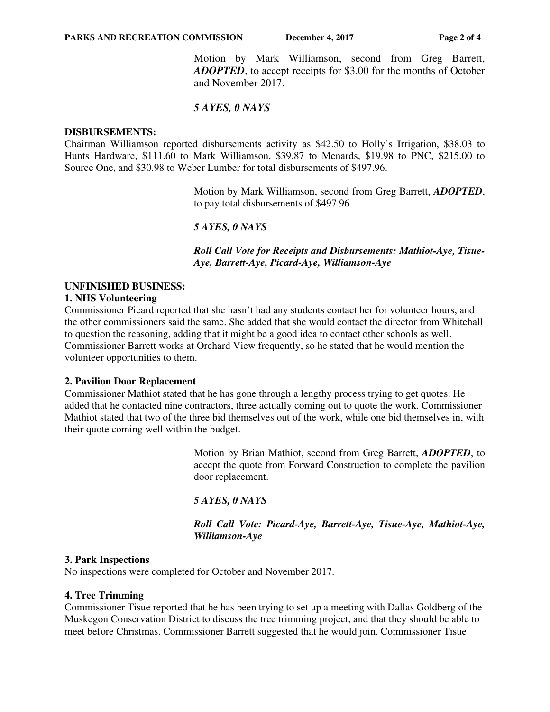Motion by Mark Williamson, second from Greg Barrett, *ADOPTED*, to accept receipts for \$3.00 for the months of October and November 2017.

# *5 AYES, 0 NAYS*

#### **DISBURSEMENTS:**

Chairman Williamson reported disbursements activity as \$42.50 to Holly's Irrigation, \$38.03 to Hunts Hardware, \$111.60 to Mark Williamson, \$39.87 to Menards, \$19.98 to PNC, \$215.00 to Source One, and \$30.98 to Weber Lumber for total disbursements of \$497.96.

> Motion by Mark Williamson, second from Greg Barrett, *ADOPTED*, to pay total disbursements of \$497.96.

# *5 AYES, 0 NAYS*

 *Roll Call Vote for Receipts and Disbursements: Mathiot-Aye, Tisue-Aye, Barrett-Aye, Picard-Aye, Williamson-Aye* 

# **UNFINISHED BUSINESS:**

# **1. NHS Volunteering**

Commissioner Picard reported that she hasn't had any students contact her for volunteer hours, and the other commissioners said the same. She added that she would contact the director from Whitehall to question the reasoning, adding that it might be a good idea to contact other schools as well. Commissioner Barrett works at Orchard View frequently, so he stated that he would mention the volunteer opportunities to them.

## **2. Pavilion Door Replacement**

Commissioner Mathiot stated that he has gone through a lengthy process trying to get quotes. He added that he contacted nine contractors, three actually coming out to quote the work. Commissioner Mathiot stated that two of the three bid themselves out of the work, while one bid themselves in, with their quote coming well within the budget.

> Motion by Brian Mathiot, second from Greg Barrett, *ADOPTED*, to accept the quote from Forward Construction to complete the pavilion door replacement.

*5 AYES, 0 NAYS* 

 *Roll Call Vote: Picard-Aye, Barrett-Aye, Tisue-Aye, Mathiot-Aye, Williamson-Aye* 

## **3. Park Inspections**

No inspections were completed for October and November 2017.

## **4. Tree Trimming**

Commissioner Tisue reported that he has been trying to set up a meeting with Dallas Goldberg of the Muskegon Conservation District to discuss the tree trimming project, and that they should be able to meet before Christmas. Commissioner Barrett suggested that he would join. Commissioner Tisue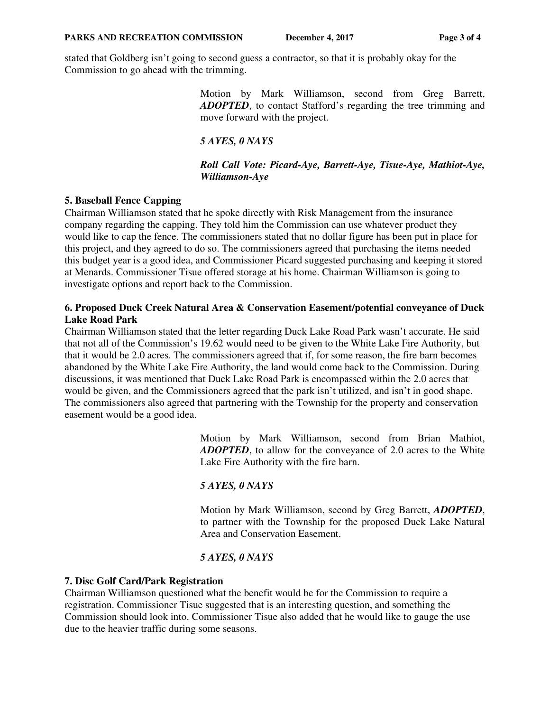stated that Goldberg isn't going to second guess a contractor, so that it is probably okay for the Commission to go ahead with the trimming.

> Motion by Mark Williamson, second from Greg Barrett, *ADOPTED*, to contact Stafford's regarding the tree trimming and move forward with the project.

## *5 AYES, 0 NAYS*

#### *Roll Call Vote: Picard-Aye, Barrett-Aye, Tisue-Aye, Mathiot-Aye, Williamson-Aye*

#### **5. Baseball Fence Capping**

Chairman Williamson stated that he spoke directly with Risk Management from the insurance company regarding the capping. They told him the Commission can use whatever product they would like to cap the fence. The commissioners stated that no dollar figure has been put in place for this project, and they agreed to do so. The commissioners agreed that purchasing the items needed this budget year is a good idea, and Commissioner Picard suggested purchasing and keeping it stored at Menards. Commissioner Tisue offered storage at his home. Chairman Williamson is going to investigate options and report back to the Commission.

#### **6. Proposed Duck Creek Natural Area & Conservation Easement/potential conveyance of Duck Lake Road Park**

Chairman Williamson stated that the letter regarding Duck Lake Road Park wasn't accurate. He said that not all of the Commission's 19.62 would need to be given to the White Lake Fire Authority, but that it would be 2.0 acres. The commissioners agreed that if, for some reason, the fire barn becomes abandoned by the White Lake Fire Authority, the land would come back to the Commission. During discussions, it was mentioned that Duck Lake Road Park is encompassed within the 2.0 acres that would be given, and the Commissioners agreed that the park isn't utilized, and isn't in good shape. The commissioners also agreed that partnering with the Township for the property and conservation easement would be a good idea.

> Motion by Mark Williamson, second from Brian Mathiot, *ADOPTED*, to allow for the conveyance of 2.0 acres to the White Lake Fire Authority with the fire barn.

## *5 AYES, 0 NAYS*

Motion by Mark Williamson, second by Greg Barrett, *ADOPTED*, to partner with the Township for the proposed Duck Lake Natural Area and Conservation Easement.

#### *5 AYES, 0 NAYS*

#### **7. Disc Golf Card/Park Registration**

Chairman Williamson questioned what the benefit would be for the Commission to require a registration. Commissioner Tisue suggested that is an interesting question, and something the Commission should look into. Commissioner Tisue also added that he would like to gauge the use due to the heavier traffic during some seasons.